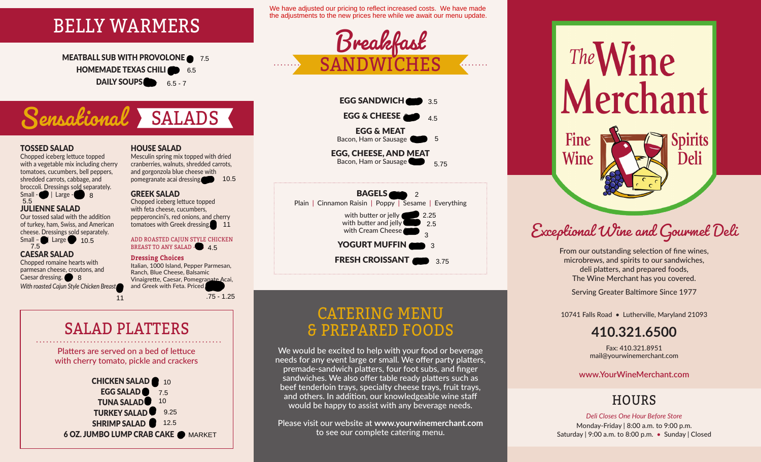

MEATBALL SUB WITH PROVOLONE  $\bullet$  7.5 **HOMEMADE TEXAS CHILI** 6.5 DAILY SOUPS  $6.5 - 7$ 

# **Sensational** SALADS

#### TOSSED SALAD

Chopped iceberg lettuce topped with a vegetable mix including cherry tomatoes, cucumbers, bell peppers, shredded carrots, cabbage, and broccoli. Dressings sold separately.



Our tossed salad with the addition of turkey, ham, Swiss, and American cheese. Dressings sold separately.

Small – **6 | Large 8.5** 10.5

### CAESAR SALAD

Chopped romaine hearts with parmesan cheese, croutons, and Caesar dressing. **8. With roasted Cajun Style Chicken Breast** 

### HOUSE SALAD

Mesculin spring mix topped with dried cranberries, walnuts, shredded carrots, and gorgonzola blue cheese with pomegranate acai dressing. 8.5

#### GREEK SALAD

Chopped iceberg lettuce topped with feta cheese, cucumbers, pepperoncini's, red onions, and cherry tomatoes with Greek dressing. 11

#### ADD ROASTED CAJUN STYLE CHICKEN BREAST TO ANY SALAD - 3.45

#### **Dressing Choices**

Italian, 1000 Island, Pepper Parmesan, Ranch, Blue Cheese, Balsamic Vinaigrette, Caesar, Pomegranate Acai, and Greek with Feta. Priced pomegranate acai dressing<br> **GREEK SALAD**<br>
Chopped iceberg lettuce topped<br>
with feta cheese, cucumbers,<br>
pepperoncini's, red onions, and cherry<br>
tomatoes with Greek dressing<br>
11<br>
ADD ROASTED CAJUN STYLE CHICKEN<br>
BREAST TO A

.75 - 1.25

## SALAD PLATTERS

Platters are served on a bed of lettuce with cherry tomato, pickle and crackers

**CHICKEN SALAD** 8 10 EGG SALAD 7.5 TUNA SALAD<sup>3</sup> 10 TURKEY SALAD **SHRIMP SALAD** 12.5 6 OZ. JUMBO LUMP CRAB CAKE @ MARKET 109.25

We have adjusted our pricing to reflect increased costs. We have made the adjustments to the new prices here while we await our menu update.







## CATERING MENU & PREPARED FOODS

We would be excited to help with your food or beverage needs for any event large or small. We offer party platters, premade-sandwich platters, four foot subs, and finger sandwiches. We also offer table ready platters such as beef tenderloin trays, specialty cheese trays, fruit trays, and others. In addition, our knowledgeable wine staff would be happy to assist with any beverage needs.

Please visit our website at **www.yourwinemerchant.com** to see our complete catering menu.

The Wine<br>Merchant **Spirits** Fine **Wine** Deli

# Exceptional Wine and Gourmet Deli

From our outstanding selection of fine wines, microbrews, and spirits to our sandwiches, deli platters, and prepared foods, The Wine Merchant has you covered.

Serving Greater Baltimore Since 1977

10741 Falls Road • Lutherville, Maryland 21093

## **410.321.6500**

Fax: 410.321.8951 mail@yourwinemerchant.com

**www.YourWineMerchant.com**

## **HOURS**

*Deli Closes One Hour Before Store* Monday-Friday | 8:00 a.m. to 9:00 p.m. Saturday | 9:00 a.m. to 8:00 p.m. • Sunday | Closed